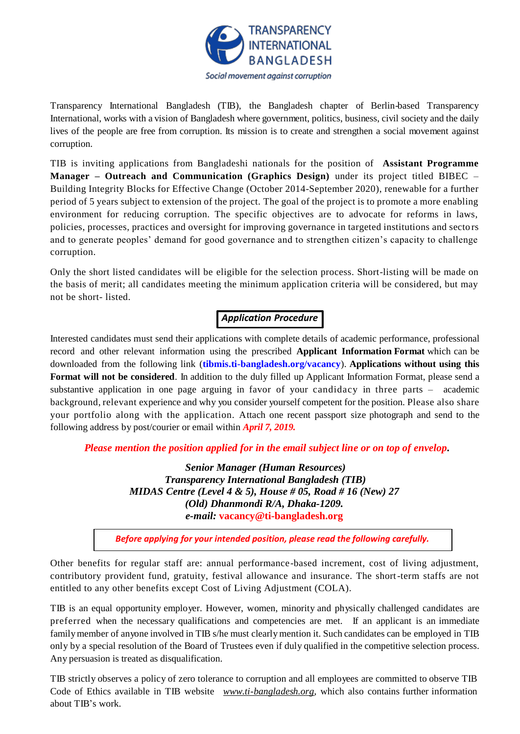

Transparency International Bangladesh (TIB), the Bangladesh chapter of Berlin-based Transparency International, works with a vision of Bangladesh where government, politics, business, civil society and the daily lives of the people are free from corruption. Its mission is to create and strengthen a social movement against corruption.

TIB is inviting applications from Bangladeshi nationals for the position of **Assistant Programme Manager – Outreach and Communication (Graphics Design)** under its project titled BIBEC – Building Integrity Blocks for Effective Change (October 2014-September 2020), renewable for a further period of 5 years subject to extension of the project. The goal of the project is to promote a more enabling environment for reducing corruption. The specific objectives are to advocate for reforms in laws, policies, processes, practices and oversight for improving governance in targeted institutions and secto rs and to generate peoples' demand for good governance and to strengthen citizen's capacity to challenge corruption.

Only the short listed candidates will be eligible for the selection process. Short-listing will be made on the basis of merit; all candidates meeting the minimum application criteria will be considered, but may not be short- listed.

# *Application Procedure*

Interested candidates must send their applications with complete details of academic performance, professional record and other relevant information using the prescribed **Applicant Information Format** which can be downloaded from the following link (**[tibmis.ti-bangladesh.org/vacancy](http://www.ti-bangladesh.org/vacancy)**). **Applications without using this Format will not be considered**. In addition to the duly filled up Applicant Information Format, please send a substantive application in one page arguing in favor of your candidacy in three parts – academic background, relevant experience and why you consider yourself competent for the position. Please also share your portfolio along with the application. Attach one recent passport size photograph and send to the following address by post/courier or email within *April 7, 2019.*

*Please mention the position applied for in the email subject line or on top of envelop***.**

*Senior Manager (Human Resources) Transparency International Bangladesh (TIB) MIDAS Centre (Level 4 & 5), House # 05, Road # 16 (New) 27 (Old) Dhanmondi R/A, Dhaka-1209. e-mail:* **vacancy@ti-bangladesh.org**

*Before applying for your intended position, please read the following carefully.*

Other benefits for regular staff are: annual performance-based increment, cost of living adjustment, contributory provident fund, gratuity, festival allowance and insurance. The short-term staffs are not entitled to any other benefits except Cost of Living Adjustment (COLA).

TIB is an equal opportunity employer. However, women, minority and physically challenged candidates are preferred when the necessary qualifications and competencies are met. If an applicant is an immediate family member of anyone involved in TIB s/he must clearly mention it. Such candidates can be employed in TIB only by a special resolution of the Board of Trustees even if duly qualified in the competitive selection process. Any persuasion is treated as disqualification.

TIB strictly observes a policy of zero tolerance to corruption and all employees are committed to observe TIB Code of Ethics available in TIB website *[www.ti-bangladesh.org](http://www.ti-bangladesh.org/)*, which also contains further information about TIB's work.